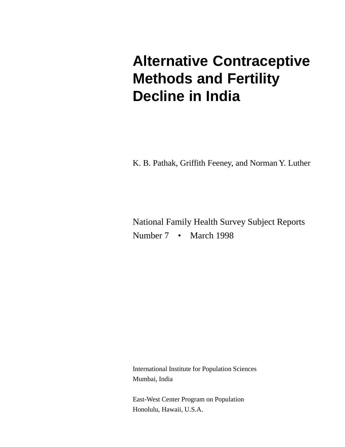# **Alternative Contraceptive Methods and Fertility Decline in India**

K. B. Pathak, Griffith Feeney, and Norman Y. Luther

National Family Health Survey Subject Reports Number 7 • March 1998

International Institute for Population Sciences Mumbai, India

East-West Center Program on Population Honolulu, Hawaii, U.S.A.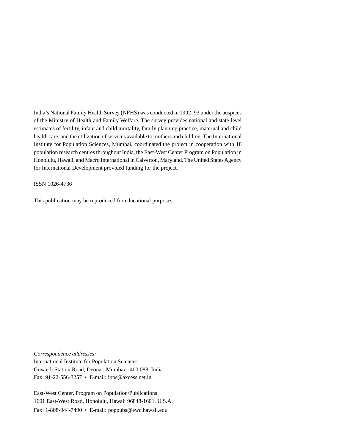India's National Family Health Survey (NFHS) was conducted in 1992–93 under the auspices of the Ministry of Health and Family Welfare. The survey provides national and state-level estimates of fertility, infant and child mortality, family planning practice, maternal and child health care, and the utilization of services available to mothers and children. The International Institute for Population Sciences, Mumbai, coordinated the project in cooperation with 18 population research centres throughout India, the East-West Center Program on Population in Honolulu, Hawaii, and Macro International in Calverton, Maryland. The United States Agency for International Development provided funding for the project.

ISSN 1026-4736

This publication may be reproduced for educational purposes.

*Correspondence addresses:* International Institute for Population Sciences Govandi Station Road, Deonar, Mumbai - 400 088, India Fax: 91-22-556-3257 • E-mail: ipps@axcess.net.in

East-West Center, Program on Population/Publications 1601 East-West Road, Honolulu, Hawaii 96848-1601, U.S.A. Fax: 1-808-944-7490 • E-mail: poppubs@ewc.hawaii.edu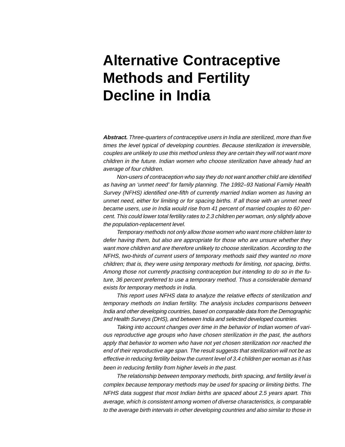# **Alternative Contraceptive Methods and Fertility Decline in India**

**Abstract.** Three-quarters of contraceptive users in India are sterilized, more than five times the level typical of developing countries. Because sterilization is irreversible, couples are unlikely to use this method unless they are certain they will not want more children in the future. Indian women who choose sterilization have already had an average of four children.

Non-users of contraception who say they do not want another child are identified as having an 'unmet need' for family planning. The 1992–93 National Family Health Survey (NFHS) identified one-fifth of currently married Indian women as having an unmet need, either for limiting or for spacing births. If all those with an unmet need became users, use in India would rise from 41 percent of married couples to 60 percent. This could lower total fertility rates to 2.3 children per woman, only slightly above the population-replacement level.

Temporary methods not only allow those women who want more children later to defer having them, but also are appropriate for those who are unsure whether they want more children and are therefore unlikely to choose sterilization. According to the NFHS, two-thirds of current users of temporary methods said they wanted no more children; that is, they were using temporary methods for limiting, not spacing, births. Among those not currently practising contraception but intending to do so in the future, 36 percent preferred to use a temporary method. Thus a considerable demand exists for temporary methods in India.

This report uses NFHS data to analyze the relative effects of sterilization and temporary methods on Indian fertility. The analysis includes comparisons between India and other developing countries, based on comparable data from the Demographic and Health Surveys (DHS), and between India and selected developed countries.

Taking into account changes over time in the behavior of Indian women of various reproductive age groups who have chosen sterilization in the past, the authors apply that behavior to women who have not yet chosen sterilization nor reached the end of their reproductive age span. The result suggests that sterilization will not be as effective in reducing fertility below the current level of 3.4 children per woman as it has been in reducing fertility from higher levels in the past.

The relationship between temporary methods, birth spacing, and fertility level is complex because temporary methods may be used for spacing or limiting births. The NFHS data suggest that most Indian births are spaced about 2.5 years apart. This average, which is consistent among women of diverse characteristics, is comparable to the average birth intervals in other developing countries and also similar to those in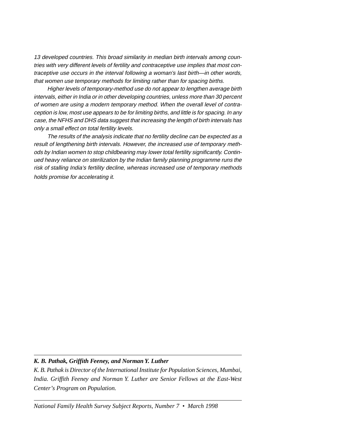13 developed countries. This broad similarity in median birth intervals among countries with very different levels of fertility and contraceptive use implies that most contraceptive use occurs in the interval following a woman's last birth—in other words, that women use temporary methods for limiting rather than for spacing births.

Higher levels of temporary-method use do not appear to lengthen average birth intervals, either in India or in other developing countries, unless more than 30 percent of women are using a modern temporary method. When the overall level of contraception is low, most use appears to be for limiting births, and little is for spacing. In any case, the NFHS and DHS data suggest that increasing the length of birth intervals has only a small effect on total fertility levels.

The results of the analysis indicate that no fertility decline can be expected as a result of lengthening birth intervals. However, the increased use of temporary methods by Indian women to stop childbearing may lower total fertility significantly. Continued heavy reliance on sterilization by the Indian family planning programme runs the risk of stalling India's fertility decline, whereas increased use of temporary methods holds promise for accelerating it.

## *K. B. Pathak, Griffith Feeney, and Norman Y. Luther*

*K. B. Pathak is Director of the International Institute for Population Sciences, Mumbai, India. Griffith Feeney and Norman Y. Luther are Senior Fellows at the East-West Center's Program on Population.*

*National Family Health Survey Subject Reports, Number 7 • March 1998*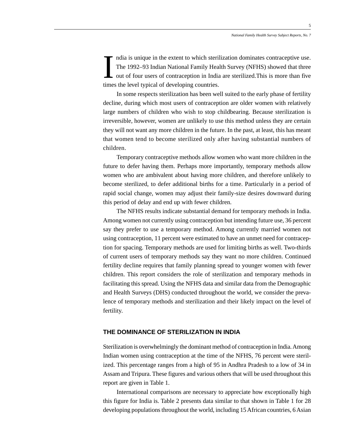ndia is unique in the extent to which sterilization dominates contraceptive use. The 1992–93 Indian National Family Health Survey (NFHS) showed that three out of four users of contraception in India are sterilized. This is more than five times the level typical of developing countries.

In some respects sterilization has been well suited to the early phase of fertility decline, during which most users of contraception are older women with relatively large numbers of children who wish to stop childbearing. Because sterilization is irreversible, however, women are unlikely to use this method unless they are certain they will not want any more children in the future. In the past, at least, this has meant that women tend to become sterilized only after having substantial numbers of children.

Temporary contraceptive methods allow women who want more children in the future to defer having them. Perhaps more importantly, temporary methods allow women who are ambivalent about having more children, and therefore unlikely to become sterilized, to defer additional births for a time. Particularly in a period of rapid social change, women may adjust their family-size desires downward during this period of delay and end up with fewer children.

The NFHS results indicate substantial demand for temporary methods in India. Among women not currently using contraception but intending future use, 36 percent say they prefer to use a temporary method. Among currently married women not using contraception, 11 percent were estimated to have an unmet need for contraception for spacing. Temporary methods are used for limiting births as well. Two-thirds of current users of temporary methods say they want no more children. Continued fertility decline requires that family planning spread to younger women with fewer children. This report considers the role of sterilization and temporary methods in facilitating this spread. Using the NFHS data and similar data from the Demographic and Health Surveys (DHS) conducted throughout the world, we consider the prevalence of temporary methods and sterilization and their likely impact on the level of fertility.

# **THE DOMINANCE OF STERILIZATION IN INDIA**

Sterilization is overwhelmingly the dominant method of contraception in India. Among Indian women using contraception at the time of the NFHS, 76 percent were sterilized. This percentage ranges from a high of 95 in Andhra Pradesh to a low of 34 in Assam and Tripura. These figures and various others that will be used throughout this report are given in Table 1.

International comparisons are necessary to appreciate how exceptionally high this figure for India is. Table 2 presents data similar to that shown in Table 1 for 28 developing populations throughout the world, including 15 African countries, 6 Asian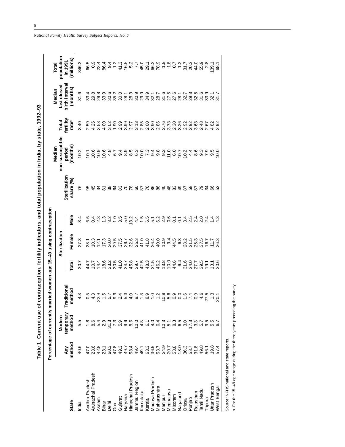| ים<br>המה                                     |
|-----------------------------------------------|
|                                               |
|                                               |
|                                               |
| ors, and total population in India, by state, |
|                                               |
|                                               |
| <b>DINDABILION ID DRY 1LET</b><br>            |
|                                               |
| $C$ urrant use of cont                        |
| <b>Table</b>                                  |

|                      |                                                                                                                                                                                                                                                                                                                                                                                                                                                                                                                                                                                                                                                                                                                                                  | Table 1 Current use o<br>Percentage of currently m | narried women age 15-49 using contraception |                                                               |               |                                                      | contraception, fertility indicators, and total population in India, by state, 1992–93 |                                                                         |                                                                                                      |                                                                                                      |                                                                                                                              |
|----------------------|--------------------------------------------------------------------------------------------------------------------------------------------------------------------------------------------------------------------------------------------------------------------------------------------------------------------------------------------------------------------------------------------------------------------------------------------------------------------------------------------------------------------------------------------------------------------------------------------------------------------------------------------------------------------------------------------------------------------------------------------------|----------------------------------------------------|---------------------------------------------|---------------------------------------------------------------|---------------|------------------------------------------------------|---------------------------------------------------------------------------------------|-------------------------------------------------------------------------|------------------------------------------------------------------------------------------------------|------------------------------------------------------------------------------------------------------|------------------------------------------------------------------------------------------------------------------------------|
|                      |                                                                                                                                                                                                                                                                                                                                                                                                                                                                                                                                                                                                                                                                                                                                                  | Modern                                             |                                             |                                                               | Sterilization |                                                      |                                                                                       | non-susceptible<br>Median                                               | Total<br>fertility                                                                                   | last closed<br>Median                                                                                | population<br><b>Total</b>                                                                                                   |
| <b>State</b>         | method<br>Àny                                                                                                                                                                                                                                                                                                                                                                                                                                                                                                                                                                                                                                                                                                                                    | temporary<br>method                                | <b>Traditiona</b><br>method                 | Total                                                         | Female        | Male                                                 | Sterilization<br>share (%)                                                            | months<br>period                                                        | rate <sup>a</sup>                                                                                    | birth interval<br>(months)                                                                           | (millions)<br>in 1991                                                                                                        |
| India                | 40.6                                                                                                                                                                                                                                                                                                                                                                                                                                                                                                                                                                                                                                                                                                                                             | 5.5                                                | $4.\overline{3}$                            | 50.7                                                          | 27.3          | 3.4                                                  | 76                                                                                    | 10.2                                                                    | 3.40                                                                                                 | 31.6                                                                                                 | 846.3                                                                                                                        |
| Andhra Pradesh       | 47.0                                                                                                                                                                                                                                                                                                                                                                                                                                                                                                                                                                                                                                                                                                                                             | $\frac{8}{1}$                                      |                                             | 44.7                                                          |               |                                                      |                                                                                       |                                                                         | 2.59                                                                                                 |                                                                                                      |                                                                                                                              |
| Arunachal Pradesh    | $\begin{array}{l} \alpha \alpha \alpha + \alpha \alpha \alpha \gamma + \alpha \gamma \alpha \gamma + \alpha \gamma \gamma + \alpha \gamma \gamma + \alpha \gamma \gamma + \alpha \gamma \gamma + \alpha \gamma \gamma + \alpha \gamma \gamma + \alpha \gamma \gamma + \alpha \gamma \gamma + \alpha \gamma \gamma + \alpha \gamma \gamma + \alpha \gamma \gamma + \alpha \gamma \gamma + \alpha \gamma \gamma + \alpha \gamma \gamma + \alpha \gamma \gamma + \alpha \gamma \gamma + \alpha \gamma \gamma + \alpha \gamma \gamma + \alpha \gamma \gamma + \alpha \gamma \gamma + \alpha \gamma \gamma + \alpha \gamma \gamma + \alpha \gamma \gamma + \alpha \gamma \gamma + \alpha \gamma \gamma + \alpha \gamma \gamma + \alpha \gamma \gamma$ | 8.6                                                |                                             | いれなどのいちからないのかいりょういころしょうとうのからのことからのことから、そのようなのから、そのようなのからないです。 |               |                                                      | 8. g                                                                                  | $1000000$<br>$10000000$                                                 | 4.25<br>3.53                                                                                         | <del>၂</del><br>ကို တို တို့ကို<br>ကို လို လို ကို                                                   | 80 28 8 - 4 5 8 7 8 8 8 - - 0 - 2 8 4<br>8 0 78 8 - 4 5 8 7 8 8 8 - - 0 - 2 9 4<br>8 0 7 4 7 7 8 8 7 7 8 - 7 8 8 8 7 7 7 8 9 |
| Assam                |                                                                                                                                                                                                                                                                                                                                                                                                                                                                                                                                                                                                                                                                                                                                                  | 5<br>5<br>2<br>5<br>2                              |                                             |                                                               |               |                                                      | నే ప్                                                                                 |                                                                         |                                                                                                      |                                                                                                      |                                                                                                                              |
| Bihar                |                                                                                                                                                                                                                                                                                                                                                                                                                                                                                                                                                                                                                                                                                                                                                  |                                                    |                                             |                                                               |               |                                                      |                                                                                       |                                                                         | 4.00                                                                                                 |                                                                                                      |                                                                                                                              |
| Delhi                |                                                                                                                                                                                                                                                                                                                                                                                                                                                                                                                                                                                                                                                                                                                                                  | 31.3                                               |                                             |                                                               |               |                                                      | <b>82325858844848585858</b>                                                           |                                                                         | 3.02                                                                                                 | 6 2 2 5 6 7 8 9 7 7 8 9 9 7 7 8 9 9 7 7 8 9 9 7 7<br>6 8 9 8 8 8 8 8 7 8 8 7 8 7 8 8 9 8 9 8 7 8 8 7 |                                                                                                                              |
| Goa                  |                                                                                                                                                                                                                                                                                                                                                                                                                                                                                                                                                                                                                                                                                                                                                  |                                                    |                                             |                                                               |               |                                                      |                                                                                       |                                                                         | 1.90                                                                                                 |                                                                                                      |                                                                                                                              |
| Gujarat              |                                                                                                                                                                                                                                                                                                                                                                                                                                                                                                                                                                                                                                                                                                                                                  |                                                    |                                             |                                                               |               |                                                      |                                                                                       |                                                                         |                                                                                                      |                                                                                                      |                                                                                                                              |
| Haryana              |                                                                                                                                                                                                                                                                                                                                                                                                                                                                                                                                                                                                                                                                                                                                                  |                                                    |                                             |                                                               |               |                                                      |                                                                                       |                                                                         |                                                                                                      |                                                                                                      |                                                                                                                              |
| Himachal Pradesh     |                                                                                                                                                                                                                                                                                                                                                                                                                                                                                                                                                                                                                                                                                                                                                  |                                                    |                                             |                                                               |               |                                                      |                                                                                       |                                                                         |                                                                                                      |                                                                                                      |                                                                                                                              |
| Jammu Region         |                                                                                                                                                                                                                                                                                                                                                                                                                                                                                                                                                                                                                                                                                                                                                  |                                                    |                                             |                                                               |               | $\frac{4}{4}$                                        |                                                                                       |                                                                         |                                                                                                      |                                                                                                      |                                                                                                                              |
| Karnataka            |                                                                                                                                                                                                                                                                                                                                                                                                                                                                                                                                                                                                                                                                                                                                                  |                                                    |                                             |                                                               |               |                                                      |                                                                                       |                                                                         |                                                                                                      |                                                                                                      |                                                                                                                              |
| Kerala               |                                                                                                                                                                                                                                                                                                                                                                                                                                                                                                                                                                                                                                                                                                                                                  |                                                    |                                             |                                                               |               |                                                      |                                                                                       |                                                                         |                                                                                                      |                                                                                                      |                                                                                                                              |
| Madhya Pradesh       |                                                                                                                                                                                                                                                                                                                                                                                                                                                                                                                                                                                                                                                                                                                                                  |                                                    |                                             |                                                               |               |                                                      |                                                                                       |                                                                         |                                                                                                      |                                                                                                      |                                                                                                                              |
| Maharashtra          |                                                                                                                                                                                                                                                                                                                                                                                                                                                                                                                                                                                                                                                                                                                                                  |                                                    |                                             |                                                               |               |                                                      |                                                                                       |                                                                         |                                                                                                      |                                                                                                      |                                                                                                                              |
| Manipur              |                                                                                                                                                                                                                                                                                                                                                                                                                                                                                                                                                                                                                                                                                                                                                  |                                                    |                                             |                                                               |               |                                                      |                                                                                       |                                                                         |                                                                                                      |                                                                                                      |                                                                                                                              |
| Meghalaya            |                                                                                                                                                                                                                                                                                                                                                                                                                                                                                                                                                                                                                                                                                                                                                  |                                                    |                                             |                                                               |               |                                                      |                                                                                       | 6 9 8 8 9 9 7 9 9 9 7 9 9 9 7 9 9 9 7<br>アムタラスクルム 8 9 9 0 7 9 4 9 9 9 7 | O O N C LO O O O O C C O O N N C<br>O O O H C O O O O N N C N O O O<br>N C N C N C C N C N C N C N C |                                                                                                      |                                                                                                                              |
| Mizoram              |                                                                                                                                                                                                                                                                                                                                                                                                                                                                                                                                                                                                                                                                                                                                                  |                                                    |                                             |                                                               |               |                                                      |                                                                                       |                                                                         |                                                                                                      |                                                                                                      |                                                                                                                              |
| Nagaland             |                                                                                                                                                                                                                                                                                                                                                                                                                                                                                                                                                                                                                                                                                                                                                  |                                                    |                                             |                                                               |               |                                                      |                                                                                       |                                                                         |                                                                                                      |                                                                                                      |                                                                                                                              |
| Orissa               |                                                                                                                                                                                                                                                                                                                                                                                                                                                                                                                                                                                                                                                                                                                                                  |                                                    |                                             |                                                               |               |                                                      |                                                                                       |                                                                         |                                                                                                      |                                                                                                      |                                                                                                                              |
| Punjab               |                                                                                                                                                                                                                                                                                                                                                                                                                                                                                                                                                                                                                                                                                                                                                  | 17.3                                               |                                             |                                                               |               |                                                      |                                                                                       |                                                                         |                                                                                                      |                                                                                                      |                                                                                                                              |
| Rajasthan            |                                                                                                                                                                                                                                                                                                                                                                                                                                                                                                                                                                                                                                                                                                                                                  | 33                                                 | $\frac{0.9}{2}$                             |                                                               |               |                                                      |                                                                                       |                                                                         |                                                                                                      |                                                                                                      |                                                                                                                              |
| Tamil Nadu           |                                                                                                                                                                                                                                                                                                                                                                                                                                                                                                                                                                                                                                                                                                                                                  | 57                                                 | 4.6                                         |                                                               |               |                                                      |                                                                                       |                                                                         | 2.48                                                                                                 |                                                                                                      | 55.9                                                                                                                         |
| Tripura              |                                                                                                                                                                                                                                                                                                                                                                                                                                                                                                                                                                                                                                                                                                                                                  | 9.5                                                |                                             |                                                               |               |                                                      |                                                                                       |                                                                         | 2.67                                                                                                 |                                                                                                      | 2.8                                                                                                                          |
| <b>Jttar Pradesh</b> | 19.8                                                                                                                                                                                                                                                                                                                                                                                                                                                                                                                                                                                                                                                                                                                                             | 5.5<br>6.7                                         | $\frac{3}{2}$                               | $19.7$<br>$7.7$<br>$9.6$                                      |               | ち5129611454044351 c 512961000 c 2000 c 2000 c 20 c 4 |                                                                                       | 9.0<br>10.0                                                             | $4.82$<br>2.92                                                                                       |                                                                                                      | $\frac{139.1}{68.1}$                                                                                                         |
| West Bengal          | 574                                                                                                                                                                                                                                                                                                                                                                                                                                                                                                                                                                                                                                                                                                                                              |                                                    | 20.1                                        |                                                               |               |                                                      |                                                                                       |                                                                         |                                                                                                      |                                                                                                      |                                                                                                                              |
|                      |                                                                                                                                                                                                                                                                                                                                                                                                                                                                                                                                                                                                                                                                                                                                                  |                                                    |                                             |                                                               |               |                                                      |                                                                                       |                                                                         |                                                                                                      |                                                                                                      |                                                                                                                              |

Source: NFHS national and state reports.

Source: NFHS national and state reports.<br>a. For the 15–49 age range during the three years preceding the survey. a. For the 15–49 age range during the three years preceding the survey.

*National Family Health Survey Subject Reports, No. 7*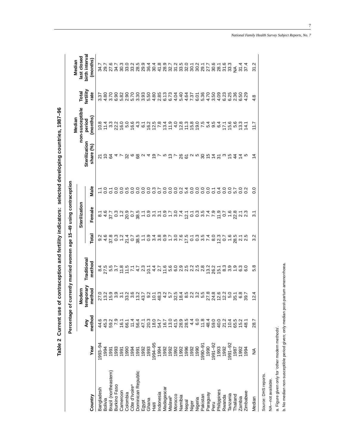| `<br>!<br>Ï                                                                                                         |
|---------------------------------------------------------------------------------------------------------------------|
| i<br>Santa Santa Santa Santa Santa Santa Santa Santa Santa Santa Santa Santa Santa Santa Santa Santa Santa Santa Sa |
| $\frac{1}{2}$                                                                                                       |
|                                                                                                                     |
|                                                                                                                     |
| ֦֘֝֘֝֟֘֝֬֝֟                                                                                                         |
|                                                                                                                     |
|                                                                                                                     |
|                                                                                                                     |
| ı<br>י<br>ק<br>ļ                                                                                                    |

Percentage of currently married women age 15-49 using contraception **Percentage of currently married women age 15–49 using contraception**

|                            |               |                  |                                                                     |                      |       |                                                                                                                                                                |                                                                                                                                                                                                                                 |                             | Median                                                    |                    | Median                    |
|----------------------------|---------------|------------------|---------------------------------------------------------------------|----------------------|-------|----------------------------------------------------------------------------------------------------------------------------------------------------------------|---------------------------------------------------------------------------------------------------------------------------------------------------------------------------------------------------------------------------------|-----------------------------|-----------------------------------------------------------|--------------------|---------------------------|
|                            |               |                  | Modern                                                              |                      |       | Sterilization                                                                                                                                                  |                                                                                                                                                                                                                                 |                             | non-susceptible                                           | Total<br>fertility | last closed               |
| Country                    | Year          | method<br>λm     | temporary<br>method                                                 | Traditiona<br>method | Total | Female                                                                                                                                                         | Male                                                                                                                                                                                                                            | Sterilization<br>share $(%$ | months<br>period                                          | rate               | birth interva<br>(months) |
| Bangladesh                 | $1993 - 94$   |                  |                                                                     |                      |       |                                                                                                                                                                |                                                                                                                                                                                                                                 |                             |                                                           |                    |                           |
| Bolivia                    |               | 45.3<br>45.3     |                                                                     |                      |       |                                                                                                                                                                |                                                                                                                                                                                                                                 |                             |                                                           |                    |                           |
| Brazil (northeastern)      | 1991          |                  |                                                                     |                      |       |                                                                                                                                                                |                                                                                                                                                                                                                                 |                             |                                                           |                    |                           |
| Burkino Faso               | 1993          |                  |                                                                     |                      |       |                                                                                                                                                                |                                                                                                                                                                                                                                 |                             |                                                           |                    |                           |
| Cameroon                   | 1991<br>1990  |                  |                                                                     |                      |       |                                                                                                                                                                |                                                                                                                                                                                                                                 |                             |                                                           |                    |                           |
| Colombia                   |               |                  |                                                                     |                      |       |                                                                                                                                                                |                                                                                                                                                                                                                                 |                             |                                                           |                    |                           |
| Côte d'Ivoire <sup>a</sup> |               |                  |                                                                     |                      |       |                                                                                                                                                                |                                                                                                                                                                                                                                 |                             |                                                           |                    |                           |
| Dominican Republic         | 1991<br>1991  |                  | ひっちゅうこうほう いわり こうはちょうこう ひかいちょう いいこう さんこう ういう こうしょう こうじょう こうじょう こうきょう |                      |       | a 4 2 0 - 8 0 8 - 0 9 9 - 0 9 - 0 7 5 0 0 9 - 1 - 6 9 0 1 7 5 0 - 8 9 0 9<br>2 6 7 8 9 9 1 9 2 9 2 2 9 2 2 9 2 2 2 2 9 0 1 2 2 9 0 1 2 2 9 0 1 2 9 0 1 2 9 0 1 | TOTOO BOOOO B DOOD B DOOD B DOOD B DOOD B DOOD B DOOD B DOOD B DOOD B DOOD B DOOD B DOOD B DOOD B DOOD B DOOD<br>TOTOO B DOOD B DOOD B DOOD B DOOD B DOOD B DOOD B DOOD B DOOD B DOOD B DOOD B DOOD B DOOD B DOOD B DOOD B DOOD | 21024736824                 | のれぇ这の日では、それではればいることはあるではらいれば、これは、これは、これは、これは、これはあるだけではない。 |                    |                           |
| Egypt                      | 1992<br>1993  |                  |                                                                     |                      |       |                                                                                                                                                                |                                                                                                                                                                                                                                 |                             |                                                           |                    |                           |
| Ghana                      |               |                  |                                                                     |                      |       |                                                                                                                                                                |                                                                                                                                                                                                                                 |                             |                                                           |                    |                           |
| Haiti                      | 1994–95       |                  |                                                                     |                      |       |                                                                                                                                                                |                                                                                                                                                                                                                                 | 으 드                         |                                                           |                    |                           |
| ndonesia                   |               |                  |                                                                     |                      |       |                                                                                                                                                                |                                                                                                                                                                                                                                 |                             |                                                           |                    |                           |
| Madagasca                  |               |                  |                                                                     |                      |       |                                                                                                                                                                |                                                                                                                                                                                                                                 |                             |                                                           |                    |                           |
| Malawib                    |               |                  |                                                                     |                      |       |                                                                                                                                                                |                                                                                                                                                                                                                                 |                             |                                                           |                    |                           |
| Vlorocco                   |               |                  |                                                                     |                      |       |                                                                                                                                                                |                                                                                                                                                                                                                                 |                             |                                                           |                    |                           |
| Namibia                    |               |                  |                                                                     |                      |       |                                                                                                                                                                |                                                                                                                                                                                                                                 |                             |                                                           |                    |                           |
| Nepal                      |               |                  |                                                                     |                      |       |                                                                                                                                                                |                                                                                                                                                                                                                                 |                             |                                                           |                    |                           |
|                            |               |                  |                                                                     |                      |       |                                                                                                                                                                |                                                                                                                                                                                                                                 |                             |                                                           |                    |                           |
| Niger<br>Nigeria           |               |                  |                                                                     |                      |       |                                                                                                                                                                |                                                                                                                                                                                                                                 | 512786日58万は引ってねね5           |                                                           |                    |                           |
| Pakistan                   |               |                  |                                                                     |                      |       |                                                                                                                                                                |                                                                                                                                                                                                                                 |                             |                                                           |                    |                           |
| Paraguay                   |               |                  |                                                                     |                      |       |                                                                                                                                                                |                                                                                                                                                                                                                                 |                             |                                                           |                    |                           |
| Peru                       | 1991-92       | 59.0             |                                                                     |                      |       |                                                                                                                                                                |                                                                                                                                                                                                                                 |                             |                                                           |                    |                           |
| Philippines                | 1993          | 40.0             |                                                                     |                      |       |                                                                                                                                                                |                                                                                                                                                                                                                                 |                             |                                                           |                    |                           |
| Rwanda                     | 1992          |                  |                                                                     |                      |       |                                                                                                                                                                |                                                                                                                                                                                                                                 |                             |                                                           |                    |                           |
| <b>Fanzania</b>            | 1991-92       | というといい<br>というのかね |                                                                     |                      |       |                                                                                                                                                                |                                                                                                                                                                                                                                 |                             |                                                           |                    |                           |
| <b>hailand</b>             | 1987          |                  |                                                                     |                      |       |                                                                                                                                                                |                                                                                                                                                                                                                                 |                             |                                                           |                    |                           |
| Zambia                     | 1994<br>1994  |                  |                                                                     |                      |       |                                                                                                                                                                |                                                                                                                                                                                                                                 |                             |                                                           |                    |                           |
| Zimbabwe                   |               |                  |                                                                     |                      |       |                                                                                                                                                                |                                                                                                                                                                                                                                 |                             |                                                           |                    |                           |
| Median                     | $\frac{1}{2}$ | 28.7             | 12.4                                                                | 5.8                  | 3.2   | $\frac{1}{3}$                                                                                                                                                  | $\overline{0}$                                                                                                                                                                                                                  | 4                           | $\frac{7}{11}$                                            | 4.8                | 31.2                      |
|                            |               |                  |                                                                     |                      |       |                                                                                                                                                                |                                                                                                                                                                                                                                 |                             |                                                           |                    |                           |

Source: DHS reports. Source: DHS reports. NA-not available. NA—not available.

a. Figure given only for 'other modern methods'.

a. Figure given only for 'other modern methods'.<br>b. No median non-susceptible period given; only median post-partum amenorrhoea. b. No median non-susceptible period given; only median post-partum amenorrhoea.

7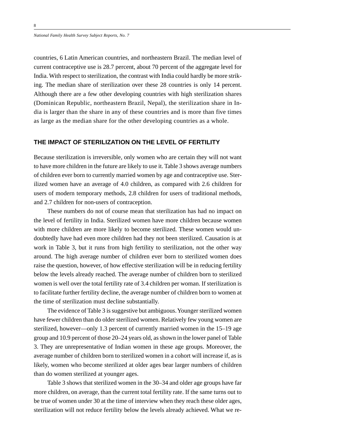countries, 6 Latin American countries, and northeastern Brazil. The median level of current contraceptive use is 28.7 percent, about 70 percent of the aggregate level for India. With respect to sterilization, the contrast with India could hardly be more striking. The median share of sterilization over these 28 countries is only 14 percent. Although there are a few other developing countries with high sterilization shares (Dominican Republic, northeastern Brazil, Nepal), the sterilization share in India is larger than the share in any of these countries and is more than five times as large as the median share for the other developing countries as a whole.

# **THE IMPACT OF STERILIZATION ON THE LEVEL OF FERTILITY**

Because sterilization is irreversible, only women who are certain they will not want to have more children in the future are likely to use it. Table 3 shows average numbers of children ever born to currently married women by age and contraceptive use. Sterilized women have an average of 4.0 children, as compared with 2.6 children for users of modern temporary methods, 2.8 children for users of traditional methods, and 2.7 children for non-users of contraception.

These numbers do not of course mean that sterilization has had no impact on the level of fertility in India. Sterilized women have more children because women with more children are more likely to become sterilized. These women would undoubtedly have had even more children had they not been sterilized. Causation is at work in Table 3, but it runs from high fertility to sterilization, not the other way around. The high average number of children ever born to sterilized women does raise the question, however, of how effective sterilization will be in reducing fertility below the levels already reached. The average number of children born to sterilized women is well over the total fertility rate of 3.4 children per woman. If sterilization is to facilitate further fertility decline, the average number of children born to women at the time of sterilization must decline substantially.

The evidence of Table 3 is suggestive but ambiguous. Younger sterilized women have fewer children than do older sterilized women. Relatively few young women are sterilized, however—only 1.3 percent of currently married women in the 15–19 age group and 10.9 percent of those 20–24 years old, as shown in the lower panel of Table 3. They are unrepresentative of Indian women in these age groups. Moreover, the average number of children born to sterilized women in a cohort will increase if, as is likely, women who become sterilized at older ages bear larger numbers of children than do women sterilized at younger ages.

Table 3 shows that sterilized women in the 30–34 and older age groups have far more children, on average, than the current total fertility rate. If the same turns out to be true of women under 30 at the time of interview when they reach these older ages, sterilization will not reduce fertility below the levels already achieved. What we re-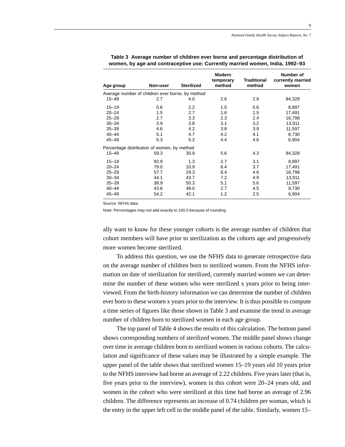|           |                                                  |                   | <b>Modern</b><br>temporary | <b>Traditional</b> | Number of<br>currently married |
|-----------|--------------------------------------------------|-------------------|----------------------------|--------------------|--------------------------------|
| Age group | Non-user                                         | <b>Sterilized</b> | method                     | method             | women                          |
|           | Average number of children ever borne, by method |                   |                            |                    |                                |
| $15 - 49$ | 2.7                                              | 4.0               | 2.6                        | 2.8                | 84,328                         |
| $15 - 19$ | 0.6                                              | $2.2\,$           | 1.0                        | 0.6                | 8,897                          |
| $20 - 24$ | 1.5                                              | 2.7               | 1.6                        | 1.5                | 17,491                         |
| $25 - 29$ | 2.7                                              | 3.3               | 2.3                        | 2.4                | 16,798                         |
| $30 - 34$ | 3.9                                              | 3.8               | 3.1                        | 3.2                | 13,911                         |
| $35 - 39$ | 4.6                                              | 4.2               | 3.8                        | 3.9                | 11,597                         |
| $40 - 44$ | 5.1                                              | 4.7               | 4.2                        | 4.1                | 8,730                          |
| $45 - 49$ | 5.3                                              | 5.2               | 4.4                        | 4.6                | 6,904                          |
|           | Percentage distribution of women, by method      |                   |                            |                    |                                |
| $15 - 49$ | 59.3                                             | 30.9              | 5.6                        | 4.3                | 84,328                         |
| $15 - 19$ | 92.9                                             | 1.3               | 2.7                        | 3.1                | 8,897                          |
| $20 - 24$ | 79.0                                             | 10.9              | 6.4                        | 3.7                | 17,491                         |
| $25 - 29$ | 57.7                                             | 29.3              | 8.4                        | 4.6                | 16,798                         |
| $30 - 34$ | 44.1                                             | 43.7              | 7.2                        | 4.9                | 13,911                         |
| $35 - 39$ | 38.9                                             | 50.3              | 5.1                        | 5.6                | 11,597                         |
| $40 - 44$ | 43.8                                             | 49.0              | 2.7                        | 4.5                | 8,730                          |
| $45 - 49$ | 54.2                                             | 42.1              | 1.2                        | 2.5                | 6,904                          |

**Table 3 Average number of children ever borne and percentage distribution of women, by age and contraceptive use: Currently married women, India, 1992–93**

Source: NFHS data.

Note: Percentages may not add exactly to 100.0 because of rounding.

ally want to know for these younger cohorts is the average number of children that cohort members will have prior to sterilization as the cohorts age and progressively more women become sterilized.

To address this question, we use the NFHS data to generate retrospective data on the average number of children born to sterilized women. From the NFHS information on date of sterilization for sterilized, currently married women we can determine the number of these women who were sterilized x years prior to being interviewed. From the birth-history information we can determine the number of children ever born to these women x years prior to the interview. It is thus possible to compute a time series of figures like those shown in Table 3 and examine the trend in average number of children born to sterilized women in each age group.

The top panel of Table 4 shows the results of this calculation. The bottom panel shows corresponding numbers of sterilized women. The middle panel shows change over time in average children born to sterilized women in various cohorts. The calculation and significance of these values may be illustrated by a simple example. The upper panel of the table shows that sterilized women 15–19 years old 10 years prior to the NFHS interview had borne an average of 2.22 children. Five years later (that is, five years prior to the interview), women in this cohort were 20–24 years old, and women in the cohort who were sterilized at this time had borne an average of 2.96 children. The difference represents an increase of 0.74 children per woman, which is the entry in the upper left cell in the middle panel of the table. Similarly, women 15–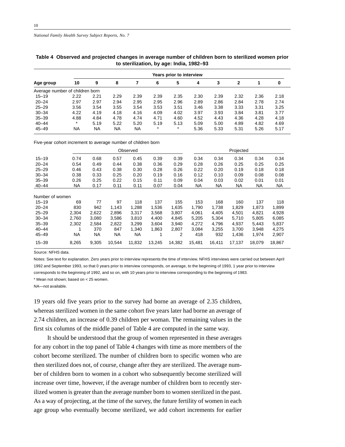|                                 |         | <b>Years prior to interview</b> |      |           |         |         |      |      |      |      |      |  |  |  |  |
|---------------------------------|---------|---------------------------------|------|-----------|---------|---------|------|------|------|------|------|--|--|--|--|
| Age group                       | 10      | 9                               | 8    |           | 6       | 5       | 4    | 3    | 2    |      | 0    |  |  |  |  |
| Average number of children born |         |                                 |      |           |         |         |      |      |      |      |      |  |  |  |  |
| $15 - 19$                       | 2.22    | 2.21                            | 2.29 | 2.39      | 2.39    | 2.35    | 2.30 | 2.39 | 2.32 | 2.36 | 2.18 |  |  |  |  |
| $20 - 24$                       | 2.97    | 2.97                            | 2.94 | 2.95      | 2.95    | 2.96    | 2.89 | 2.86 | 2.84 | 2.78 | 2.74 |  |  |  |  |
| $25 - 29$                       | 3.56    | 3.54                            | 3.55 | 3.54      | 3.53    | 3.51    | 3.46 | 3.38 | 3.33 | 3.31 | 3.25 |  |  |  |  |
| $30 - 34$                       | 4.22    | 4.19                            | 4.18 | 4.16      | 4.09    | 4.02    | 3.97 | 3.93 | 3.84 | 3.81 | 3.77 |  |  |  |  |
| $35 - 39$                       | 4.88    | 4.84                            | 4.78 | 4.74      | 4.71    | 4.60    | 4.52 | 4.43 | 4.36 | 4.28 | 4.18 |  |  |  |  |
| $40 - 44$                       | $\star$ | 5.19                            | 5.22 | 5.20      | 5.19    | 5.13    | 5.09 | 5.00 | 4.89 | 4.82 | 4.69 |  |  |  |  |
| $45 - 49$                       | NA      | <b>NA</b>                       | NA   | <b>NA</b> | $\star$ | $\star$ | 5.36 | 5.33 | 5.31 | 5.26 | 5.17 |  |  |  |  |

#### **Table 4 Observed and projected changes in average number of children born to sterilized women prior to sterilization, by age: India, 1982–93**

Five-year cohort increment to average number of children born

|                 |       |       |        | Observed |        |        | Projected |        |        |           |           |  |
|-----------------|-------|-------|--------|----------|--------|--------|-----------|--------|--------|-----------|-----------|--|
| $15 - 19$       | 0.74  | 0.68  | 0.57   | 0.45     | 0.39   | 0.39   | 0.34      | 0.34   | 0.34   | 0.34      | 0.34      |  |
| $20 - 24$       | 0.54  | 0.49  | 0.44   | 0.38     | 0.36   | 0.29   | 0.28      | 0.26   | 0.25   | 0.25      | 0.25      |  |
| $25 - 29$       | 0.46  | 0.43  | 0.38   | 0.30     | 0.28   | 0.26   | 0.22      | 0.20   | 0.19   | 0.18      | 0.18      |  |
| $30 - 34$       | 0.38  | 0.33  | 0.25   | 0.20     | 0.19   | 0.16   | 0.12      | 0.10   | 0.09   | 0.08      | 0.08      |  |
| $35 - 39$       | 0.26  | 0.25  | 0.22   | 0.15     | 0.11   | 0.09   | 0.04      | 0.03   | 0.02   | 0.01      | 0.01      |  |
| $40 - 44$       | NA    | 0.17  | 0.11   | 0.11     | 0.07   | 0.04   | NA        | NA     | NA     | <b>NA</b> | <b>NA</b> |  |
| Number of women |       |       |        |          |        |        |           |        |        |           |           |  |
| $15 - 19$       | 69    | 77    | 97     | 118      | 137    | 155    | 153       | 168    | 160    | 137       | 118       |  |
| $20 - 24$       | 830   | 942   | 1,143  | 1,288    | 1,536  | 1,635  | 1,790     | 1,738  | 1,829  | 1,873     | 1,899     |  |
| $25 - 29$       | 2,304 | 2,622 | 2,896  | 3,317    | 3,568  | 3,807  | 4,061     | 4,405  | 4,501  | 4,821     | 4,928     |  |
| $30 - 34$       | 2,760 | 3,080 | 3,586  | 3,810    | 4,400  | 4,845  | 5,205     | 5,304  | 5,710  | 5,805     | 6,085     |  |
| $35 - 39$       | 2,302 | 2,584 | 2,822  | 3,299    | 3,604  | 3,940  | 4,272     | 4,796  | 4,937  | 5.443     | 5,837     |  |
| $40 - 44$       |       | 370   | 847    | 1,340    | 1,863  | 2,807  | 3,084     | 3,255  | 3,700  | 3,948     | 4,275     |  |
| $45 - 49$       | NA    | NA    | ΝA     | NА       |        | 2      | 418       | 932    | 1,436  | 1,974     | 2,907     |  |
| $15 - 39$       | 8,265 | 9,305 | 10,544 | 11,832   | 13,245 | 14,382 | 15,481    | 16,411 | 17,137 | 18,079    | 18,867    |  |

Source: NFHS data.

Notes: See text for explanation. Zero years prior to interview represents the time of interview. NFHS interviews were carried out between April 1992 and September 1993, so that 0 years prior to interview corresponds, on average, to the beginning of 1993, 1 year prior to interview corresponds to the beginning of 1992, and so on, with 10 years prior to interview corresponding to the beginning of 1983.

\* Mean not shown; based on < 25 women.

NA—not available.

19 years old five years prior to the survey had borne an average of 2.35 children, whereas sterilized women in the same cohort five years later had borne an average of 2.74 children, an increase of 0.39 children per woman. The remaining values in the first six columns of the middle panel of Table 4 are computed in the same way.

It should be understood that the group of women represented in these averages for any cohort in the top panel of Table 4 changes with time as more members of the cohort become sterilized. The number of children born to specific women who are then sterilized does not, of course, change after they are sterilized. The average number of children born to women in a cohort who subsequently become sterilized will increase over time, however, if the average number of children born to recently sterilized women is greater than the average number born to women sterilized in the past. As a way of projecting, at the time of the survey, the future fertility of women in each age group who eventually become sterilized, we add cohort increments for earlier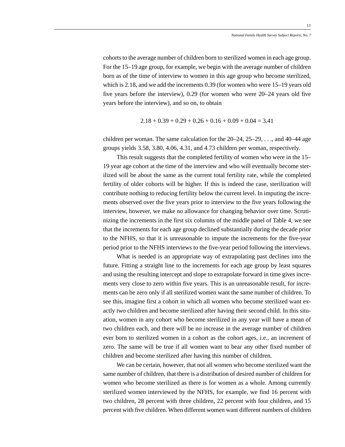cohorts to the average number of children born to sterilized women in each age group. For the 15–19 age group, for example, we begin with the average number of children born as of the time of interview to women in this age group who become sterilized, which is 2.18, and we add the increments 0.39 (for women who were 15–19 years old five years before the interview), 0.29 (for women who were 20–24 years old five years before the interview), and so on, to obtain

$$
2.18 + 0.39 + 0.29 + 0.26 + 0.16 + 0.09 + 0.04 = 3.41
$$

children per woman. The same calculation for the  $20-24$ ,  $25-29$ , ..., and  $40-44$  age groups yields 3.58, 3.80, 4.06, 4.31, and 4.73 children per woman, respectively.

This result suggests that the completed fertility of women who were in the 15– 19 year age cohort at the time of the interview and who will eventually become sterilized will be about the same as the current total fertility rate, while the completed fertility of older cohorts will be higher. If this is indeed the case, sterilization will contribute nothing to reducing fertility below the current level. In imputing the increments observed over the five years prior to interview to the five years following the interview, however, we make no allowance for changing behavior over time. Scrutinizing the increments in the first six columns of the middle panel of Table 4, we see that the increments for each age group declined substantially during the decade prior to the NFHS, so that it is unreasonable to impute the increments for the five-year period prior to the NFHS interviews to the five-year period following the interviews.

What is needed is an appropriate way of extrapolating past declines into the future. Fitting a straight line to the increments for each age group by least squares and using the resulting intercept and slope to extrapolate forward in time gives increments very close to zero within five years. This is an unreasonable result, for increments can be zero only if all sterilized women want the same number of children. To see this, imagine first a cohort in which all women who become sterilized want exactly two children and become sterilized after having their second child. In this situation, women in any cohort who become sterilized in any year will have a mean of two children each, and there will be no increase in the average number of children ever born to sterilized women in a cohort as the cohort ages, i.e., an increment of zero. The same will be true if all women want to bear any other fixed number of children and become sterilized after having this number of children.

We can be certain, however, that not all women who become sterilized want the same number of children, that there is a distribution of desired number of children for women who become sterilized as there is for women as a whole. Among currently sterilized women interviewed by the NFHS, for example, we find 16 percent with two children, 28 percent with three children, 22 percent with four children, and 15 percent with five children. When different women want different numbers of children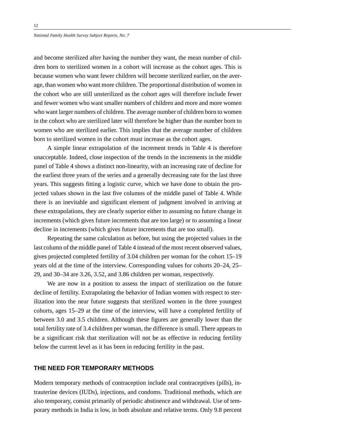and become sterilized after having the number they want, the mean number of children born to sterilized women in a cohort will increase as the cohort ages. This is because women who want fewer children will become sterilized earlier, on the average, than women who want more children. The proportional distribution of women in the cohort who are still unsterilized as the cohort ages will therefore include fewer and fewer women who want smaller numbers of children and more and more women who want larger numbers of children. The average number of children born to women in the cohort who are sterilized later will therefore be higher than the number born to women who are sterilized earlier. This implies that the average number of children born to sterilized women in the cohort must increase as the cohort ages.

A simple linear extrapolation of the increment trends in Table 4 is therefore unacceptable. Indeed, close inspection of the trends in the increments in the middle panel of Table 4 shows a distinct non-linearity, with an increasing rate of decline for the earliest three years of the series and a generally decreasing rate for the last three years. This suggests fitting a logistic curve, which we have done to obtain the projected values shown in the last five columns of the middle panel of Table 4. While there is an inevitable and significant element of judgment involved in arriving at these extrapolations, they are clearly superior either to assuming no future change in increments (which gives future increments that are too large) or to assuming a linear decline in increments (which gives future increments that are too small).

Repeating the same calculation as before, but using the projected values in the last column of the middle panel of Table 4 instead of the most recent observed values, gives projected completed fertility of 3.04 children per woman for the cohort 15–19 years old at the time of the interview. Corresponding values for cohorts 20–24, 25– 29, and 30–34 are 3.26, 3.52, and 3.86 children per woman, respectively.

We are now in a position to assess the impact of sterilization on the future decline of fertility. Extrapolating the behavior of Indian women with respect to sterilization into the near future suggests that sterilized women in the three youngest cohorts, ages 15–29 at the time of the interview, will have a completed fertility of between 3.0 and 3.5 children. Although these figures are generally lower than the total fertility rate of 3.4 children per woman, the difference is small. There appears to be a significant risk that sterilization will not be as effective in reducing fertility below the current level as it has been in reducing fertility in the past.

#### **THE NEED FOR TEMPORARY METHODS**

Modern temporary methods of contraception include oral contraceptives (pills), intrauterine devices (IUDs), injections, and condoms. Traditional methods, which are also temporary, consist primarily of periodic abstinence and withdrawal. Use of temporary methods in India is low, in both absolute and relative terms. Only 9.8 percent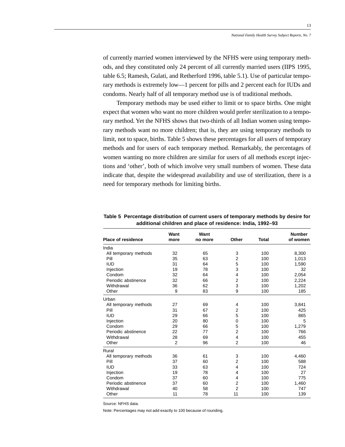of currently married women interviewed by the NFHS were using temporary methods, and they constituted only 24 percent of all currently married users (IIPS 1995, table 6.5; Ramesh, Gulati, and Retherford 1996, table 5.1). Use of particular temporary methods is extremely low—1 percent for pills and 2 percent each for IUDs and condoms. Nearly half of all temporary method use is of traditional methods.

Temporary methods may be used either to limit or to space births. One might expect that women who want no more children would prefer sterilization to a temporary method. Yet the NFHS shows that two-thirds of all Indian women using temporary methods want no more children; that is, they are using temporary methods to limit, not to space, births. Table 5 shows these percentages for all users of temporary methods and for users of each temporary method. Remarkably, the percentages of women wanting no more children are similar for users of all methods except injections and 'other', both of which involve very small numbers of women. These data indicate that, despite the widespread availability and use of sterilization, there is a need for temporary methods for limiting births.

| <b>Place of residence</b> | Want<br>more   | Want<br>no more | Other          | <b>Total</b> | <b>Number</b><br>of women |
|---------------------------|----------------|-----------------|----------------|--------------|---------------------------|
| India                     |                |                 |                |              |                           |
| All temporary methods     | 32             | 65              | 3              | 100          | 8,300                     |
| Pill                      | 35             | 63              | $\overline{2}$ | 100          | 1,013                     |
| <b>IUD</b>                | 31             | 64              | 5              | 100          | 1,590                     |
| Injection                 | 19             | 78              | 3              | 100          | 32                        |
| Condom                    | 32             | 64              | 4              | 100          | 2,054                     |
| Periodic abstinence       | 32             | 66              | $\overline{2}$ | 100          | 2,224                     |
| Withdrawal                | 36             | 62              | 3              | 100          | 1,202                     |
| Other                     | 9              | 83              | 9              | 100          | 185                       |
| Urban                     |                |                 |                |              |                           |
| All temporary methods     | 27             | 69              | 4              | 100          | 3,841                     |
| Pill                      | 31             | 67              | $\overline{2}$ | 100          | 425                       |
| <b>IUD</b>                | 29             | 66              | 5              | 100          | 865                       |
| Injection                 | 20             | 80              | 0              | 100          | 5                         |
| Condom                    | 29             | 66              | 5              | 100          | 1,279                     |
| Periodic abstinence       | 22             | 77              | $\overline{2}$ | 100          | 766                       |
| Withdrawal                | 28             | 69              | 4              | 100          | 455                       |
| Other                     | $\overline{2}$ | 96              | $\overline{2}$ | 100          | 46                        |
| Rural                     |                |                 |                |              |                           |
| All temporary methods     | 36             | 61              | 3              | 100          | 4,460                     |
| Pill                      | 37             | 60              | $\overline{2}$ | 100          | 588                       |
| <b>IUD</b>                | 33             | 63              | $\overline{4}$ | 100          | 724                       |
| Injection                 | 19             | 78              | 4              | 100          | 27                        |
| Condom                    | 37             | 60              | 4              | 100          | 775                       |
| Periodic abstinence       | 37             | 60              | $\overline{2}$ | 100          | 1,460                     |
| Withdrawal                | 40             | 58              | $\overline{2}$ | 100          | 747                       |
| Other                     | 11             | 78              | 11             | 100          | 139                       |

**Table 5 Percentage distribution of current users of temporary methods by desire for additional children and place of residence: India, 1992–93**

Source: NFHS data.

Note: Percentages may not add exactly to 100 because of rounding.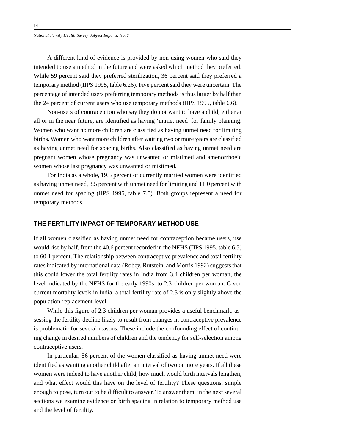A different kind of evidence is provided by non-using women who said they intended to use a method in the future and were asked which method they preferred. While 59 percent said they preferred sterilization, 36 percent said they preferred a temporary method (IIPS 1995, table 6.26). Five percent said they were uncertain. The percentage of intended users preferring temporary methods is thus larger by half than the 24 percent of current users who use temporary methods (IIPS 1995, table 6.6).

Non-users of contraception who say they do not want to have a child, either at all or in the near future, are identified as having 'unmet need' for family planning. Women who want no more children are classified as having unmet need for limiting births. Women who want more children after waiting two or more years are classified as having unmet need for spacing births. Also classified as having unmet need are pregnant women whose pregnancy was unwanted or mistimed and amenorrhoeic women whose last pregnancy was unwanted or mistimed.

For India as a whole, 19.5 percent of currently married women were identified as having unmet need, 8.5 percent with unmet need for limiting and 11.0 percent with unmet need for spacing (IIPS 1995, table 7.5). Both groups represent a need for temporary methods.

# **THE FERTILITY IMPACT OF TEMPORARY METHOD USE**

If all women classified as having unmet need for contraception became users, use would rise by half, from the 40.6 percent recorded in the NFHS (IIPS 1995, table 6.5) to 60.1 percent. The relationship between contraceptive prevalence and total fertility rates indicated by international data (Robey, Rutstein, and Morris 1992) suggests that this could lower the total fertility rates in India from 3.4 children per woman, the level indicated by the NFHS for the early 1990s, to 2.3 children per woman. Given current mortality levels in India, a total fertility rate of 2.3 is only slightly above the population-replacement level.

While this figure of 2.3 children per woman provides a useful benchmark, assessing the fertility decline likely to result from changes in contraceptive prevalence is problematic for several reasons. These include the confounding effect of continuing change in desired numbers of children and the tendency for self-selection among contraceptive users.

In particular, 56 percent of the women classified as having unmet need were identified as wanting another child after an interval of two or more years. If all these women were indeed to have another child, how much would birth intervals lengthen, and what effect would this have on the level of fertility? These questions, simple enough to pose, turn out to be difficult to answer. To answer them, in the next several sections we examine evidence on birth spacing in relation to temporary method use and the level of fertility.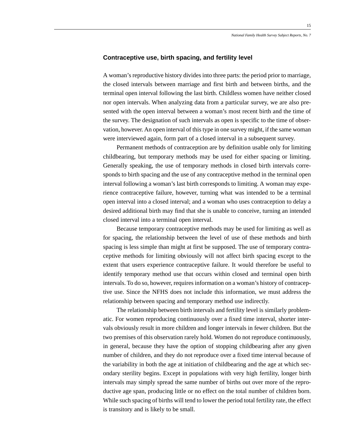#### **Contraceptive use, birth spacing, and fertility level**

A woman's reproductive history divides into three parts: the period prior to marriage, the closed intervals between marriage and first birth and between births, and the terminal open interval following the last birth. Childless women have neither closed nor open intervals. When analyzing data from a particular survey, we are also presented with the open interval between a woman's most recent birth and the time of the survey. The designation of such intervals as open is specific to the time of observation, however. An open interval of this type in one survey might, if the same woman were interviewed again, form part of a closed interval in a subsequent survey.

Permanent methods of contraception are by definition usable only for limiting childbearing, but temporary methods may be used for either spacing or limiting. Generally speaking, the use of temporary methods in closed birth intervals corresponds to birth spacing and the use of any contraceptive method in the terminal open interval following a woman's last birth corresponds to limiting. A woman may experience contraceptive failure, however, turning what was intended to be a terminal open interval into a closed interval; and a woman who uses contraception to delay a desired additional birth may find that she is unable to conceive, turning an intended closed interval into a terminal open interval.

Because temporary contraceptive methods may be used for limiting as well as for spacing, the relationship between the level of use of these methods and birth spacing is less simple than might at first be supposed. The use of temporary contraceptive methods for limiting obviously will not affect birth spacing except to the extent that users experience contraceptive failure. It would therefore be useful to identify temporary method use that occurs within closed and terminal open birth intervals. To do so, however, requires information on a woman's history of contraceptive use. Since the NFHS does not include this information, we must address the relationship between spacing and temporary method use indirectly.

The relationship between birth intervals and fertility level is similarly problematic. For women reproducing continuously over a fixed time interval, shorter intervals obviously result in more children and longer intervals in fewer children. But the two premises of this observation rarely hold. Women do not reproduce continuously, in general, because they have the option of stopping childbearing after any given number of children, and they do not reproduce over a fixed time interval because of the variability in both the age at initiation of childbearing and the age at which secondary sterility begins. Except in populations with very high fertility, longer birth intervals may simply spread the same number of births out over more of the reproductive age span, producing little or no effect on the total number of children born. While such spacing of births will tend to lower the period total fertility rate, the effect is transitory and is likely to be small.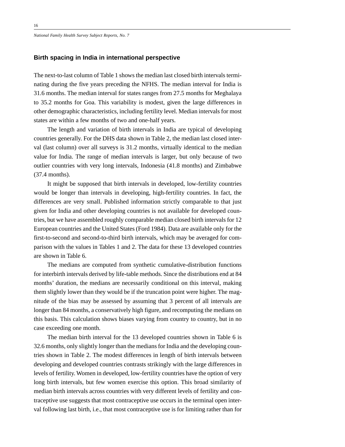## **Birth spacing in India in international perspective**

The next-to-last column of Table 1 shows the median last closed birth intervals terminating during the five years preceding the NFHS. The median interval for India is 31.6 months. The median interval for states ranges from 27.5 months for Meghalaya to 35.2 months for Goa. This variability is modest, given the large differences in other demographic characteristics, including fertility level. Median intervals for most states are within a few months of two and one-half years.

The length and variation of birth intervals in India are typical of developing countries generally. For the DHS data shown in Table 2, the median last closed interval (last column) over all surveys is 31.2 months, virtually identical to the median value for India. The range of median intervals is larger, but only because of two outlier countries with very long intervals, Indonesia (41.8 months) and Zimbabwe (37.4 months).

It might be supposed that birth intervals in developed, low-fertility countries would be longer than intervals in developing, high-fertility countries. In fact, the differences are very small. Published information strictly comparable to that just given for India and other developing countries is not available for developed countries, but we have assembled roughly comparable median closed birth intervals for 12 European countries and the United States (Ford 1984). Data are available only for the first-to-second and second-to-third birth intervals, which may be averaged for comparison with the values in Tables 1 and 2. The data for these 13 developed countries are shown in Table 6.

The medians are computed from synthetic cumulative-distribution functions for interbirth intervals derived by life-table methods. Since the distributions end at 84 months' duration, the medians are necessarily conditional on this interval, making them slightly lower than they would be if the truncation point were higher. The magnitude of the bias may be assessed by assuming that 3 percent of all intervals are longer than 84 months, a conservatively high figure, and recomputing the medians on this basis. This calculation shows biases varying from country to country, but in no case exceeding one month.

The median birth interval for the 13 developed countries shown in Table 6 is 32.6 months, only slightly longer than the medians for India and the developing countries shown in Table 2. The modest differences in length of birth intervals between developing and developed countries contrasts strikingly with the large differences in levels of fertility. Women in developed, low-fertility countries have the option of very long birth intervals, but few women exercise this option. This broad similarity of median birth intervals across countries with very different levels of fertility and contraceptive use suggests that most contraceptive use occurs in the terminal open interval following last birth, i.e., that most contraceptive use is for limiting rather than for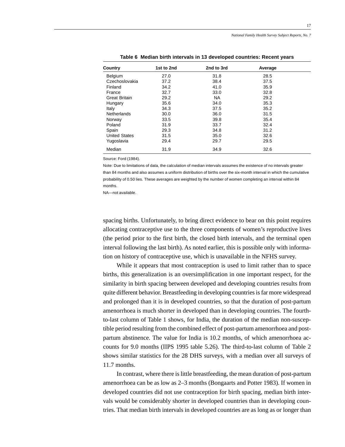| Country              | 1st to 2nd | 2nd to 3rd | Average |  |
|----------------------|------------|------------|---------|--|
| Belgium              | 27.0       | 31.8       | 28.5    |  |
| Czechoslovakia       | 37.2       | 38.4       | 37.5    |  |
| Finland              | 34.2       | 41.0       | 35.9    |  |
| France               | 32.7       | 33.0       | 32.8    |  |
| <b>Great Britain</b> | 29.2       | <b>NA</b>  | 29.2    |  |
| Hungary              | 35.6       | 34.0       | 35.3    |  |
| Italy                | 34.3       | 37.5       | 35.2    |  |
| Netherlands          | 30.0       | 36.0       | 31.5    |  |
| Norway               | 33.5       | 39.8       | 35.4    |  |
| Poland               | 31.9       | 33.7       | 32.4    |  |
| Spain                | 29.3       | 34.8       | 31.2    |  |
| <b>United States</b> | 31.5       | 35.0       | 32.6    |  |
| Yugoslavia           | 29.4       | 29.7       | 29.5    |  |
| Median               | 31.9       | 34.9       | 32.6    |  |

**Table 6 Median birth intervals in 13 developed countries: Recent years**

Source: Ford (1984).

Note: Due to limitations of data, the calculation of median intervals assumes the existence of no intervals greater than 84 months and also assumes a uniform distribution of births over the six-month interval in which the cumulative probability of 0.50 lies. These averages are weighted by the number of women completing an interval within 84 months.

NA—not available.

spacing births. Unfortunately, to bring direct evidence to bear on this point requires allocating contraceptive use to the three components of women's reproductive lives (the period prior to the first birth, the closed birth intervals, and the terminal open interval following the last birth). As noted earlier, this is possible only with information on history of contraceptive use, which is unavailable in the NFHS survey.

While it appears that most contraception is used to limit rather than to space births, this generalization is an oversimplification in one important respect, for the similarity in birth spacing between developed and developing countries results from quite different behavior. Breastfeeding in developing countries is far more widespread and prolonged than it is in developed countries, so that the duration of post-partum amenorrhoea is much shorter in developed than in developing countries. The fourthto-last column of Table 1 shows, for India, the duration of the median non-susceptible period resulting from the combined effect of post-partum amenorrhoea and postpartum abstinence. The value for India is 10.2 months, of which amenorrhoea accounts for 9.0 months (IIPS 1995 table 5.26). The third-to-last column of Table 2 shows similar statistics for the 28 DHS surveys, with a median over all surveys of 11.7 months.

In contrast, where there is little breastfeeding, the mean duration of post-partum amenorrhoea can be as low as 2–3 months (Bongaarts and Potter 1983). If women in developed countries did not use contraception for birth spacing, median birth intervals would be considerably shorter in developed countries than in developing countries. That median birth intervals in developed countries are as long as or longer than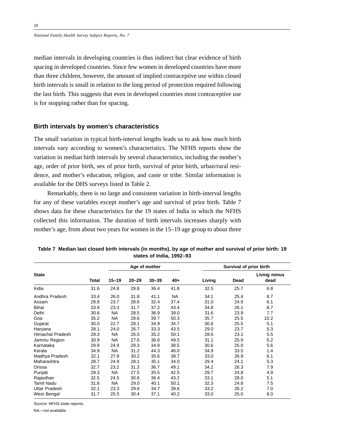median intervals in developing countries is thus indirect but clear evidence of birth spacing in developed countries. Since few women in developed countries have more than three children, however, the amount of implied contraceptive use within closed birth intervals is small in relation to the long period of protection required following the last birth. This suggests that even in developed countries most contraceptive use is for stopping rather than for spacing.

#### **Birth intervals by women's characteristics**

The small variation in typical birth-interval lengths leads us to ask how much birth intervals vary according to women's characteristics. The NFHS reports show the variation in median birth intervals by several characteristics, including the mother's age, order of prior birth, sex of prior birth, survival of prior birth, urban/rural residence, and mother's education, religion, and caste or tribe. Similar information is available for the DHS surveys listed in Table 2.

Remarkably, there is no large and consistent variation in birth-interval lengths for any of these variables except mother's age and survival of prior birth. Table 7 shows data for these characteristics for the 19 states of India in which the NFHS collected this information. The duration of birth intervals increases sharply with mother's age, from about two years for women in the 15–19 age group to about three

|                         |              |           |           | Age of mother |       |        | Survival of prior birth |                      |
|-------------------------|--------------|-----------|-----------|---------------|-------|--------|-------------------------|----------------------|
| <b>State</b>            | <b>Total</b> | $15 - 19$ | $20 - 29$ | $30 - 39$     | $40+$ | Living | Dead                    | Living minus<br>dead |
| India                   | 31.6         | 24.8      | 29.8      | 36.4          | 41.8  | 32.5   | 25.7                    | 6.8                  |
| Andhra Pradesh          | 33.4         | 26.0      | 31.8      | 41.1          | NA    | 34.1   | 25.4                    | 8.7                  |
| Assam                   | 29.8         | 23.7      | 28.6      | 32.4          | 37.4  | 31.0   | 24.9                    | 6.1                  |
| <b>Bihar</b>            | 33.9         | 23.3      | 31.7      | 37.2          | 43.4  | 34.8   | 26.1                    | 8.7                  |
| Delhi                   | 30.6         | <b>NA</b> | 28.5      | 36.9          | 39.0  | 31.6   | 23.9                    | 7.7                  |
| Goa                     | 35.2         | NA        | 29.6      | 39.7          | 50.3  | 35.7   | 25.5                    | 10.2                 |
| Gujarat                 | 30.0         | 22.7      | 28.1      | 34.9          | 34.7  | 30.6   | 25.5                    | 5.1                  |
| Haryana                 | 28.1         | 24.0      | 26.7      | 33.3          | 43.5  | 29.0   | 23.7                    | 5.3                  |
| <b>Himachal Pradesh</b> | 28.3         | <b>NA</b> | 26.5      | 35.2          | 50.1  | 28.6   | 23.1                    | 5.5                  |
| Jammu Region            | 30.9         | <b>NA</b> | 27.6      | 36.6          | 49.5  | 31.1   | 25.9                    | 5.2                  |
| Karnataka               | 29.9         | 24.9      | 29.3      | 34.9          | 38.5  | 30.6   | 25.0                    | 5.6                  |
| Kerala                  | 34.9         | <b>NA</b> | 31.2      | 44.3          | 46.0  | 34.9   | 33.5                    | 1.4                  |
| Madhya Pradesh          | 32.1         | 27.8      | 30.2      | 35.6          | 38.7  | 33.0   | 26.9                    | 6.1                  |
| Maharashtra             | 28.7         | 24.9      | 28.1      | 35.1          | 34.0  | 29.4   | 24.1                    | 5.3                  |
| Orissa                  | 32.7         | 23.2      | 31.3      | 36.7          | 49.1  | 34.2   | 26.3                    | 7.9                  |
| Punjab                  | 29.3         | <b>NA</b> | 27.5      | 35.5          | 42.5  | 29.7   | 24.8                    | 4.9                  |
| Rajasthan               | 32.5         | 24.5      | 30.6      | 36.4          | 43.2  | 33.1   | 28.0                    | 5.1                  |
| Tamil Nadu              | 31.6         | <b>NA</b> | 29.0      | 40.1          | 50.1  | 32.3   | 24.8                    | 7.5                  |
| Uttar Pradesh           | 32.1         | 23.3      | 29.6      | 34.7          | 39.6  | 33.2   | 26.2                    | 7.0                  |
| West Bengal             | 31.7         | 25.5      | 30.4      | 37.1          | 40.2  | 33.0   | 25.0                    | 8.0                  |

**Table 7 Median last closed birth intervals (in months), by age of mother and survival of prior birth: 19 states of India, 1992–93**

Source: NFHS state reports.

NA—not available.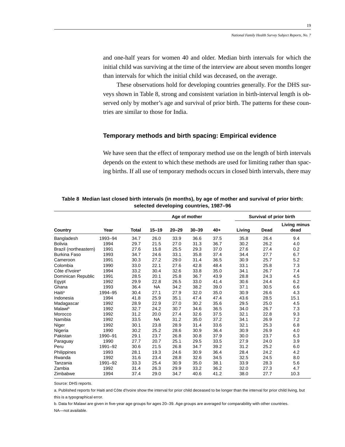and one-half years for women 40 and older. Median birth intervals for which the initial child was surviving at the time of the interview are about seven months longer than intervals for which the initial child was deceased, on the average.

These observations hold for developing countries generally. For the DHS surveys shown in Table 8, strong and consistent variation in birth-interval length is observed only by mother's age and survival of prior birth. The patterns for these countries are similar to those for India.

### **Temporary methods and birth spacing: Empirical evidence**

We have seen that the effect of temporary method use on the length of birth intervals depends on the extent to which these methods are used for limiting rather than spacing births. If all use of temporary methods occurs in closed birth intervals, there may

|                            |         |              |           |           | Age of mother |       |        | Survival of prior birth |                             |
|----------------------------|---------|--------------|-----------|-----------|---------------|-------|--------|-------------------------|-----------------------------|
| Country                    | Year    | <b>Total</b> | $15 - 19$ | $20 - 29$ | $30 - 39$     | $40+$ | Living | Dead                    | <b>Living minus</b><br>dead |
| Bangladesh                 | 1993-94 | 34.7         | 26.0      | 33.9      | 36.6          | 37.5  | 35.8   | 26.4                    | 9.4                         |
| <b>Bolivia</b>             | 1994    | 29.7         | 21.5      | 27.0      | 31.3          | 36.7  | 30.2   | 26.2                    | 4.0                         |
| Brazil (northeastern)      | 1991    | 27.6         | 15.8      | 25.5      | 29.3          | 37.0  | 27.6   | 27.4                    | 0.2                         |
| <b>Burkina Faso</b>        | 1993    | 34.7         | 24.6      | 33.1      | 35.8          | 37.4  | 34.4   | 27.7                    | 6.7                         |
| Cameroon                   | 1991    | 30.3         | 27.2      | 29.0      | 31.4          | 36.5  | 30.9   | 25.7                    | 5.2                         |
| Colombia                   | 1990    | 33.0         | 22.1      | 27.6      | 42.8          | 48.4  | 33.1   | 25.8                    | 7.3                         |
| Côte d'Ivoire <sup>a</sup> | 1994    | 33.2         | 30.4      | 32.6      | 33.8          | 35.0  | 34.1   | 26.7                    | 7.4                         |
| Dominican Republic         | 1991    | 28.5         | 20.1      | 25.8      | 36.7          | 43.9  | 28.8   | 24.3                    | 4.5                         |
| Egypt                      | 1992    | 29.9         | 22.8      | 26.5      | 33.0          | 41.4  | 30.6   | 24.4                    | 6.2                         |
| Ghana                      | 1993    | 36.4         | <b>NA</b> | 34.2      | 38.2          | 39.0  | 37.1   | 30.5                    | 6.6                         |
| Haiti <sup>a</sup>         | 1994-95 | 30.4         | 27.1      | 27.9      | 32.0          | 35.0  | 30.9   | 26.6                    | 4.3                         |
| Indonesia                  | 1994    | 41.8         | 25.9      | 35.1      | 47.4          | 47.4  | 43.6   | 28.5                    | 15.1                        |
| Madagascar                 | 1992    | 28.9         | 22.9      | 27.0      | 30.2          | 35.6  | 29.5   | 25.0                    | 4.5                         |
| Malawib                    | 1992    | 32.7         | 24.2      | 30.7      | 34.6          | 36.5  | 34.0   | 26.7                    | 7.3                         |
| Morocco                    | 1992    | 31.2         | 20.0      | 27.4      | 32.6          | 37.5  | 32.1   | 22.8                    | 9.3                         |
| Namibia                    | 1992    | 33.5         | <b>NA</b> | 31.2      | 35.0          | 37.2  | 34.1   | 26.9                    | 7.2                         |
| Niger                      | 1992    | 30.1         | 23.8      | 28.9      | 31.4          | 33.6  | 32.1   | 25.3                    | 6.8                         |
| Nigeria                    | 1990    | 30.2         | 25.2      | 28.6      | 30.9          | 36.4  | 30.9   | 26.9                    | 4.0                         |
| Pakistan                   | 1990-91 | 29.1         | 23.7      | 26.8      | 30.8          | 37.9  | 30.0   | 23.7                    | 6.3                         |
| Paraguay                   | 1990    | 27.7         | 20.7      | 25.1      | 29.5          | 33.5  | 27.9   | 24.0                    | 3.9                         |
| Peru                       | 1991-92 | 30.6         | 21.5      | 26.8      | 34.7          | 39.2  | 31.2   | 25.2                    | 6.0                         |
| Philippines                | 1993    | 28.1         | 19.3      | 24.6      | 30.9          | 36.4  | 28.4   | 24.2                    | 4.2                         |
| Rwanda                     | 1992    | 31.6         | 23.4      | 28.8      | 32.6          | 34.5  | 32.5   | 24.5                    | 8.0                         |
| Tanzania                   | 1991-92 | 33.3         | 25.4      | 30.9      | 35.0          | 38.1  | 33.9   | 28.3                    | 5.6                         |
| Zambia                     | 1992    | 31.4         | 26.3      | 29.9      | 33.2          | 36.2  | 32.0   | 27.3                    | 4.7                         |
| Zimbabwe                   | 1994    | 37.4         | 29.0      | 34.7      | 40.6          | 41.2  | 38.0   | 27.7                    | 10.3                        |

**Table 8 Median last closed birth intervals (in months), by age of mother and survival of prior birth: selected developing countries, 1987–96**

Source: DHS reports.

a. Published reports for Haiti and Côte d'Ivoire show the interval for prior child deceased to be longer than the interval for prior child living, but this is a typographical error.

b. Data for Malawi are given in five-year age groups for ages 20–39. Age groups are averaged for comparability with other countries.

NA—not available.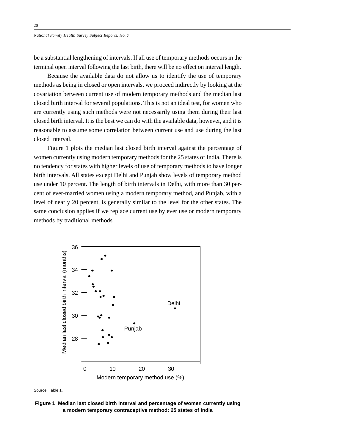be a substantial lengthening of intervals. If all use of temporary methods occurs in the terminal open interval following the last birth, there will be no effect on interval length.

Because the available data do not allow us to identify the use of temporary methods as being in closed or open intervals, we proceed indirectly by looking at the covariation between current use of modern temporary methods and the median last closed birth interval for several populations. This is not an ideal test, for women who are currently using such methods were not necessarily using them during their last closed birth interval. It is the best we can do with the available data, however, and it is reasonable to assume some correlation between current use and use during the last closed interval.

Figure 1 plots the median last closed birth interval against the percentage of women currently using modern temporary methods for the 25 states of India. There is no tendency for states with higher levels of use of temporary methods to have longer birth intervals. All states except Delhi and Punjab show levels of temporary method use under 10 percent. The length of birth intervals in Delhi, with more than 30 percent of ever-married women using a modern temporary method, and Punjab, with a level of nearly 20 percent, is generally similar to the level for the other states. The same conclusion applies if we replace current use by ever use or modern temporary methods by traditional methods.





**Figure 1 Median last closed birth interval and percentage of women currently using**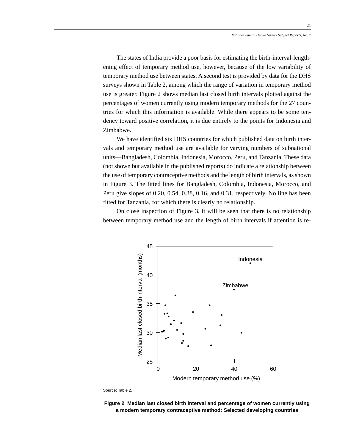The states of India provide a poor basis for estimating the birth-interval-lengthening effect of temporary method use, however, because of the low variability of temporary method use between states. A second test is provided by data for the DHS surveys shown in Table 2, among which the range of variation in temporary method use is greater. Figure 2 shows median last closed birth intervals plotted against the percentages of women currently using modern temporary methods for the 27 countries for which this information is available. While there appears to be some tendency toward positive correlation, it is due entirely to the points for Indonesia and Zimbabwe.

We have identified six DHS countries for which published data on birth intervals and temporary method use are available for varying numbers of subnational units—Bangladesh, Colombia, Indonesia, Morocco, Peru, and Tanzania. These data (not shown but available in the published reports) do indicate a relationship between the use of temporary contraceptive methods and the length of birth intervals, as shown in Figure 3. The fitted lines for Bangladesh, Colombia, Indonesia, Morocco, and Peru give slopes of 0.20, 0.54, 0.38, 0.16, and 0.31, respectively. No line has been fitted for Tanzania, for which there is clearly no relationship.

On close inspection of Figure 3, it will be seen that there is no relationship between temporary method use and the length of birth intervals if attention is re-



Source: Table 2.

**Figure 2 Median last closed birth interval and percentage of women currently using a modern temporary contraceptive method: Selected developing countries**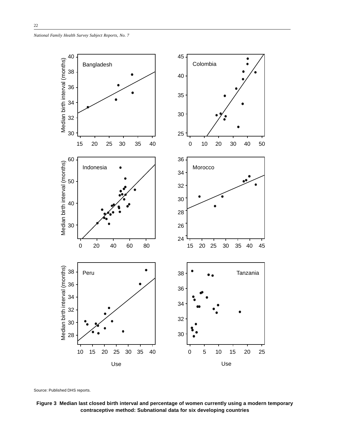

Source: Published DHS reports.

**Figure 3 Median last closed birth interval and percentage of women currently using a modern temporary contraceptive method: Subnational data for six developing countries**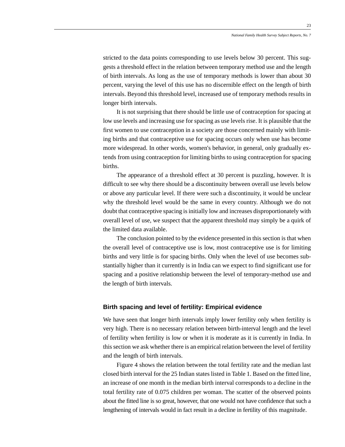stricted to the data points corresponding to use levels below 30 percent. This suggests a threshold effect in the relation between temporary method use and the length of birth intervals. As long as the use of temporary methods is lower than about 30 percent, varying the level of this use has no discernible effect on the length of birth intervals. Beyond this threshold level, increased use of temporary methods results in longer birth intervals.

It is not surprising that there should be little use of contraception for spacing at low use levels and increasing use for spacing as use levels rise. It is plausible that the first women to use contraception in a society are those concerned mainly with limiting births and that contraceptive use for spacing occurs only when use has become more widespread. In other words, women's behavior, in general, only gradually extends from using contraception for limiting births to using contraception for spacing births.

The appearance of a threshold effect at 30 percent is puzzling, however. It is difficult to see why there should be a discontinuity between overall use levels below or above any particular level. If there were such a discontinuity, it would be unclear why the threshold level would be the same in every country. Although we do not doubt that contraceptive spacing is initially low and increases disproportionately with overall level of use, we suspect that the apparent threshold may simply be a quirk of the limited data available.

The conclusion pointed to by the evidence presented in this section is that when the overall level of contraceptive use is low, most contraceptive use is for limiting births and very little is for spacing births. Only when the level of use becomes substantially higher than it currently is in India can we expect to find significant use for spacing and a positive relationship between the level of temporary-method use and the length of birth intervals.

## **Birth spacing and level of fertility: Empirical evidence**

We have seen that longer birth intervals imply lower fertility only when fertility is very high. There is no necessary relation between birth-interval length and the level of fertility when fertility is low or when it is moderate as it is currently in India. In this section we ask whether there is an empirical relation between the level of fertility and the length of birth intervals.

Figure 4 shows the relation between the total fertility rate and the median last closed birth interval for the 25 Indian states listed in Table 1. Based on the fitted line, an increase of one month in the median birth interval corresponds to a decline in the total fertility rate of 0.075 children per woman. The scatter of the observed points about the fitted line is so great, however, that one would not have confidence that such a lengthening of intervals would in fact result in a decline in fertility of this magnitude.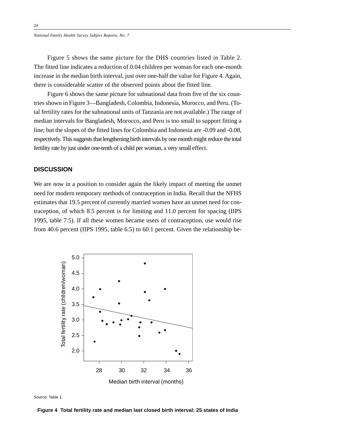Figure 5 shows the same picture for the DHS countries listed in Table 2. The fitted line indicates a reduction of 0.04 children per woman for each one-month increase in the median birth interval, just over one-half the value for Figure 4. Again, there is considerable scatter of the observed points about the fitted line.

Figure 6 shows the same picture for subnational data from five of the six countries shown in Figure 3—Bangladesh, Colombia, Indonesia, Morocco, and Peru. (Total fertility rates for the subnational units of Tanzania are not available.) The range of median intervals for Bangladesh, Morocco, and Peru is too small to support fitting a line; but the slopes of the fitted lines for Colombia and Indonesia are -0.09 and -0.08, respectively. This suggests that lengthening birth intervals by one month might reduce the total fertility rate by just under one-tenth of a child per woman, a very small effect.

# **DISCUSSION**

We are now in a position to consider again the likely impact of meeting the unmet need for modern temporary methods of contraception in India. Recall that the NFHS estimates that 19.5 percent of currently married women have an unmet need for contraception, of which 8.5 percent is for limiting and 11.0 percent for spacing (IIPS 1995, table 7.5). If all these women became users of contraception, use would rise from 40.6 percent (IIPS 1995, table 6.5) to 60.1 percent. Given the relationship be-





**Figure 4 Total fertility rate and median last closed birth interval: 25 states of India**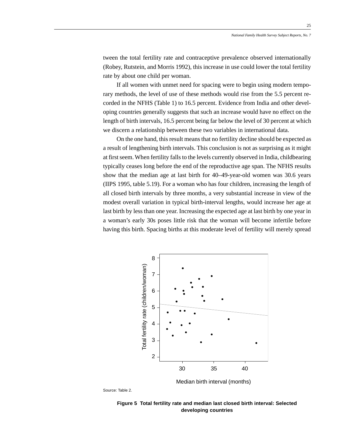tween the total fertility rate and contraceptive prevalence observed internationally (Robey, Rutstein, and Morris 1992), this increase in use could lower the total fertility rate by about one child per woman.

If all women with unmet need for spacing were to begin using modern temporary methods, the level of use of these methods would rise from the 5.5 percent recorded in the NFHS (Table 1) to 16.5 percent. Evidence from India and other developing countries generally suggests that such an increase would have no effect on the length of birth intervals, 16.5 percent being far below the level of 30 percent at which we discern a relationship between these two variables in international data.

On the one hand, this result means that no fertility decline should be expected as a result of lengthening birth intervals. This conclusion is not as surprising as it might at first seem. When fertility falls to the levels currently observed in India, childbearing typically ceases long before the end of the reproductive age span. The NFHS results show that the median age at last birth for 40–49-year-old women was 30.6 years (IIPS 1995, table 5.19). For a woman who has four children, increasing the length of all closed birth intervals by three months, a very substantial increase in view of the modest overall variation in typical birth-interval lengths, would increase her age at last birth by less than one year. Increasing the expected age at last birth by one year in a woman's early 30s poses little risk that the woman will become infertile before having this birth. Spacing births at this moderate level of fertility will merely spread



Source: Table 2.

**Figure 5 Total fertility rate and median last closed birth interval: Selected developing countries**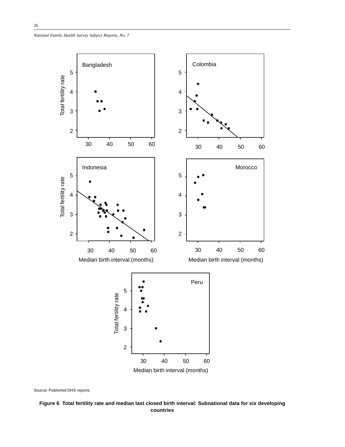

Source: Published DHS reports.

**Figure 6 Total fertility rate and median last closed birth interval: Subnational data for six developing countries**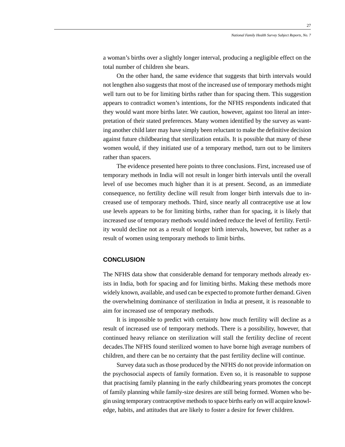a woman's births over a slightly longer interval, producing a negligible effect on the total number of children she bears.

On the other hand, the same evidence that suggests that birth intervals would not lengthen also suggests that most of the increased use of temporary methods might well turn out to be for limiting births rather than for spacing them. This suggestion appears to contradict women's intentions, for the NFHS respondents indicated that they would want more births later. We caution, however, against too literal an interpretation of their stated preferences. Many women identified by the survey as wanting another child later may have simply been reluctant to make the definitive decision against future childbearing that sterilization entails. It is possible that many of these women would, if they initiated use of a temporary method, turn out to be limiters rather than spacers.

The evidence presented here points to three conclusions. First, increased use of temporary methods in India will not result in longer birth intervals until the overall level of use becomes much higher than it is at present. Second, as an immediate consequence, no fertility decline will result from longer birth intervals due to increased use of temporary methods. Third, since nearly all contraceptive use at low use levels appears to be for limiting births, rather than for spacing, it is likely that increased use of temporary methods would indeed reduce the level of fertility. Fertility would decline not as a result of longer birth intervals, however, but rather as a result of women using temporary methods to limit births.

### **CONCLUSION**

The NFHS data show that considerable demand for temporary methods already exists in India, both for spacing and for limiting births. Making these methods more widely known, available, and used can be expected to promote further demand. Given the overwhelming dominance of sterilization in India at present, it is reasonable to aim for increased use of temporary methods.

It is impossible to predict with certainty how much fertility will decline as a result of increased use of temporary methods. There is a possibility, however, that continued heavy reliance on sterilization will stall the fertility decline of recent decades.The NFHS found sterilized women to have borne high average numbers of children, and there can be no certainty that the past fertility decline will continue.

Survey data such as those produced by the NFHS do not provide information on the psychosocial aspects of family formation. Even so, it is reasonable to suppose that practising family planning in the early childbearing years promotes the concept of family planning while family-size desires are still being formed. Women who begin using temporary contraceptive methods to space births early on will acquire knowledge, habits, and attitudes that are likely to foster a desire for fewer children.